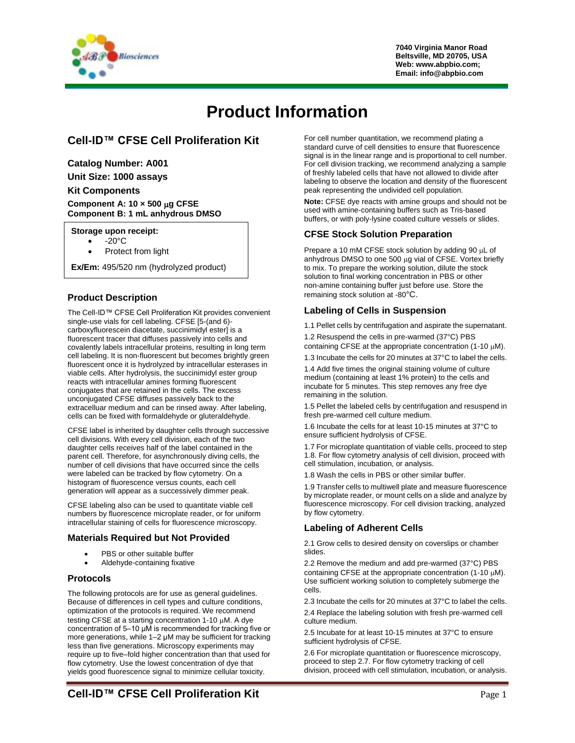

# **Product Information**

# **Cell-ID™ CFSE Cell Proliferation Kit**

**Catalog Number: A001**

**Unit Size: 1000 assays**

#### **Kit Components**

**Component A: 10 × 500 g CFSE Component B: 1 mL anhydrous DMSO**

#### **Storage upon receipt:**

- $-20^\circ C$ 
	- Protect from light

**Ex/Em:** 495/520 nm (hydrolyzed product)

## **Product Description**

The Cell-ID™ CFSE Cell Proliferation Kit provides convenient single-use vials for cell labeling. CFSE [5-(and 6) carboxyfluorescein diacetate, succinimidyl ester] is a fluorescent tracer that diffuses passively into cells and covalently labels intracellular proteins, resulting in long term cell labeling. It is non-fluorescent but becomes brightly green fluorescent once it is hydrolyzed by intracellular esterases in viable cells. After hydrolysis, the succinimidyl ester group reacts with intracellular amines forming fluorescent conjugates that are retained in the cells. The excess unconjugated CFSE diffuses passively back to the extracelluar medium and can be rinsed away. After labeling, cells can be fixed with formaldehyde or gluteraldehyde.

CFSE label is inherited by daughter cells through successive cell divisions. With every cell division, each of the two daughter cells receives half of the label contained in the parent cell. Therefore, for asynchronously diving cells, the number of cell divisions that have occurred since the cells were labeled can be tracked by flow cytometry. On a histogram of fluorescence versus counts, each cell generation will appear as a successively dimmer peak.

CFSE labeling also can be used to quantitate viable cell numbers by fluorescence microplate reader, or for uniform intracellular staining of cells for fluorescence microscopy.

### **Materials Required but Not Provided**

- PBS or other suitable buffer
- Aldehyde-containing fixative

### **Protocols**

The following protocols are for use as general guidelines. Because of differences in cell types and culture conditions, optimization of the protocols is required. We recommend testing CFSE at a starting concentration  $1-10 \mu M$ . A dye concentration of 5–10 μM is recommended for tracking five or more generations, while 1–2 μM may be sufficient for tracking less than five generations. Microscopy experiments may require up to five–fold higher concentration than that used for flow cytometry. Use the lowest concentration of dye that yields good fluorescence signal to minimize cellular toxicity.

For cell number quantitation, we recommend plating a standard curve of cell densities to ensure that fluorescence signal is in the linear range and is proportional to cell number. For cell division tracking, we recommend analyzing a sample of freshly labeled cells that have not allowed to divide after labeling to observe the location and density of the fluorescent peak representing the undivided cell population.

**Note:** CFSE dye reacts with amine groups and should not be used with amine-containing buffers such as Tris-based buffers, or with poly-lysine coated culture vessels or slides.

### **CFSE Stock Solution Preparation**

Prepare a 10 mM CFSE stock solution by adding 90  $\mu$ L of anhydrous DMSO to one 500 µg vial of CFSE. Vortex briefly to mix. To prepare the working solution, dilute the stock solution to final working concentration in PBS or other non-amine containing buffer just before use. Store the remaining stock solution at -80°C.

### **Labeling of Cells in Suspension**

1.1 Pellet cells by centrifugation and aspirate the supernatant. 1.2 Resuspend the cells in pre-warmed (37°C) PBS

containing CFSE at the appropriate concentration (1-10  $\mu$ M).

1.3 Incubate the cells for 20 minutes at 37°C to label the cells.

1.4 Add five times the original staining volume of culture medium (containing at least 1% protein) to the cells and incubate for 5 minutes. This step removes any free dye remaining in the solution.

1.5 Pellet the labeled cells by centrifugation and resuspend in fresh pre-warmed cell culture medium.

1.6 Incubate the cells for at least 10-15 minutes at 37°C to ensure sufficient hydrolysis of CFSE.

1.7 For microplate quantitation of viable cells, proceed to step 1.8. For flow cytometry analysis of cell division, proceed with cell stimulation, incubation, or analysis.

1.8 Wash the cells in PBS or other similar buffer.

1.9 Transfer cells to multiwell plate and measure fluorescence by microplate reader, or mount cells on a slide and analyze by fluorescence microscopy. For cell division tracking, analyzed by flow cytometry.

### **Labeling of Adherent Cells**

2.1 Grow cells to desired density on coverslips or chamber slides.

2.2 Remove the medium and add pre-warmed (37°C) PBS containing CFSE at the appropriate concentration (1-10  $\mu$ M). Use sufficient working solution to completely submerge the cells.

2.3 Incubate the cells for 20 minutes at 37°C to label the cells.

2.4 Replace the labeling solution with fresh pre-warmed cell culture medium.

2.5 Incubate for at least 10-15 minutes at 37°C to ensure sufficient hydrolysis of CFSE.

2.6 For microplate quantitation or fluorescence microscopy, proceed to step 2.7. For flow cytometry tracking of cell division, proceed with cell stimulation, incubation, or analysis.